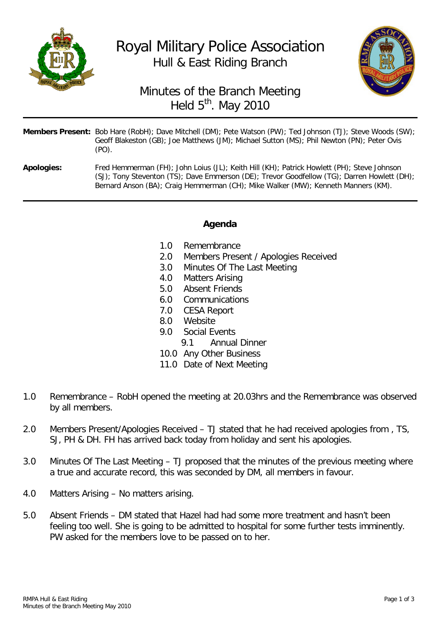

## Royal Military Police Association Hull & East Riding Branch



## Minutes of the Branch Meeting Held  $5<sup>th</sup>$ . May 2010

|            | Members Present: Bob Hare (RobH); Dave Mitchell (DM); Pete Watson (PW); Ted Johnson (TJ); Steve Woods (SW);<br>Geoff Blakeston (GB); Joe Matthews (JM); Michael Sutton (MS); Phil Newton (PN); Peter Ovis<br>$(PO)$ .                                                          |
|------------|--------------------------------------------------------------------------------------------------------------------------------------------------------------------------------------------------------------------------------------------------------------------------------|
| Apologies: | Fred Hemmerman (FH); John Loius (JL); Keith Hill (KH); Patrick Howlett (PH); Steve Johnson<br>(SJ); Tony Steventon (TS); Dave Emmerson (DE); Trevor Goodfellow (TG); Darren Howlett (DH);<br>Bernard Anson (BA); Craig Hemmerman (CH); Mike Walker (MW); Kenneth Manners (KM). |

## **Agenda**

- 
- 1.0 Remembrance<br>2.0 Members Prese 2.0 Members Present / Apologies Received<br>3.0 Minutes Of The Last Meeting
- Minutes Of The Last Meeting
- 4.0 Matters Arising<br>5.0 Absent Friends
- Absent Friends
- 6.0 Communications
- 7.0 CESA Report
- 8.0 Website<br>9.0 Social Fy
- Social Events
	- 9.1 Annual Dinner
- 10.0 Any Other Business
- 11.0 Date of Next Meeting
- 1.0 Remembrance RobH opened the meeting at 20.03hrs and the Remembrance was observed by all members.
- 2.0 Members Present/Apologies Received TJ stated that he had received apologies from , TS, SJ, PH & DH. FH has arrived back today from holiday and sent his apologies.
- 3.0 Minutes Of The Last Meeting TJ proposed that the minutes of the previous meeting where a true and accurate record, this was seconded by DM, all members in favour.
- 4.0 Matters Arising No matters arising.
- 5.0 Absent Friends DM stated that Hazel had had some more treatment and hasn't been feeling too well. She is going to be admitted to hospital for some further tests imminently. PW asked for the members love to be passed on to her.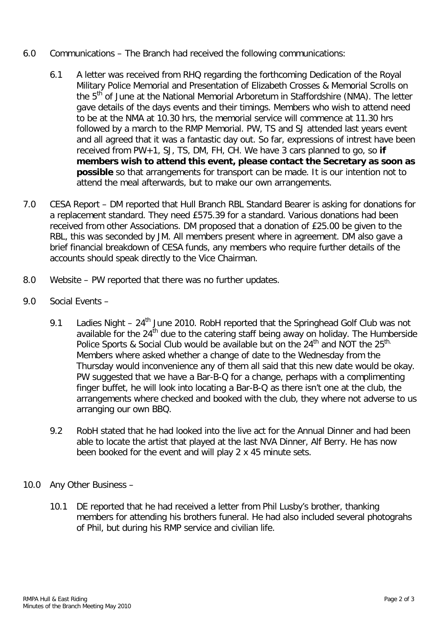- 6.0 Communications The Branch had received the following communications:
	- 6.1 A letter was received from RHQ regarding the forthcoming Dedication of the Royal Military Police Memorial and Presentation of Elizabeth Crosses & Memorial Scrolls on the 5<sup>th</sup> of June at the National Memorial Arboretum in Staffordshire (NMA). The letter gave details of the days events and their timings. Members who wish to attend need to be at the NMA at 10.30 hrs, the memorial service will commence at 11.30 hrs followed by a march to the RMP Memorial. PW, TS and SJ attended last years event and all agreed that it was a fantastic day out. So far, expressions of intrest have been received from PW+1, SJ, TS, DM, FH, CH. We have 3 cars planned to go, so **if members wish to attend this event, please contact the Secretary as soon as possible** so that arrangements for transport can be made. It is our intention not to attend the meal afterwards, but to make our own arrangements.
- 7.0 CESA Report DM reported that Hull Branch RBL Standard Bearer is asking for donations for a replacement standard. They need £575.39 for a standard. Various donations had been received from other Associations. DM proposed that a donation of £25.00 be given to the RBL, this was seconded by JM. All members present where in agreement. DM also gave a brief financial breakdown of CESA funds, any members who require further details of the accounts should speak directly to the Vice Chairman.
- 8.0 Website PW reported that there was no further updates.
- 9.0 Social Events
	- 9.1 Ladies Night  $24<sup>th</sup>$  June 2010. RobH reported that the Springhead Golf Club was not available for the 24<sup>th</sup> due to the catering staff being away on holiday. The Humberside Police Sports & Social Club would be available but on the  $24<sup>th</sup>$  and NOT the  $25<sup>th</sup>$ . Members where asked whether a change of date to the Wednesday from the Thursday would inconvenience any of them all said that this new date would be okay. PW suggested that we have a Bar-B-Q for a change, perhaps with a complimenting finger buffet, he will look into locating a Bar-B-Q as there isn't one at the club, the arrangements where checked and booked with the club, they where not adverse to us arranging our own BBQ.
	- 9.2 RobH stated that he had looked into the live act for the Annual Dinner and had been able to locate the artist that played at the last NVA Dinner, Alf Berry. He has now been booked for the event and will play 2 x 45 minute sets.
- 10.0 Any Other Business
	- 10.1 DE reported that he had received a letter from Phil Lusby's brother, thanking members for attending his brothers funeral. He had also included several photograhs of Phil, but during his RMP service and civilian life.